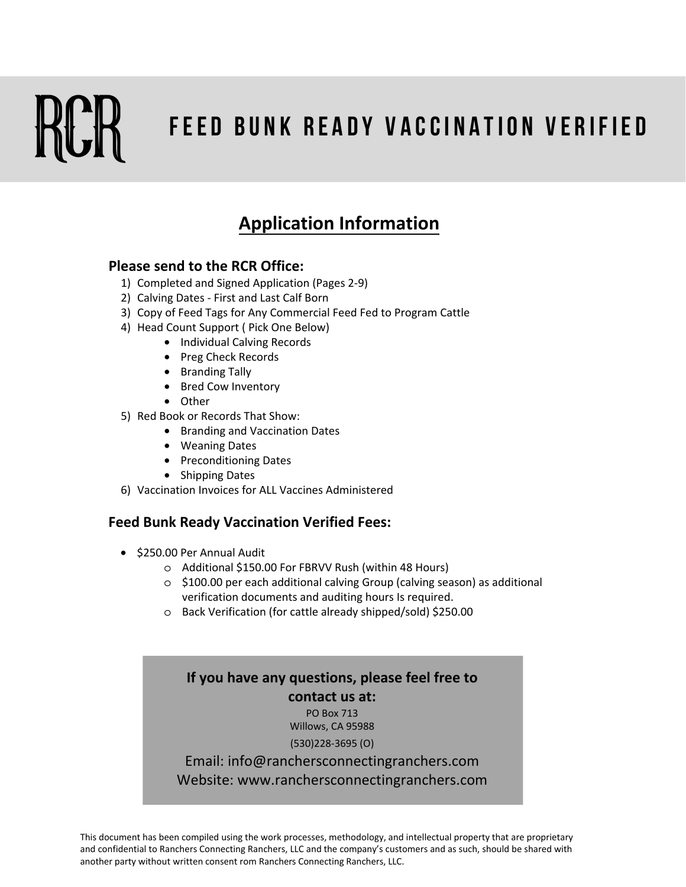# **F E E D B U N K R E A D Y V A C C I N A T I O N V E R I F I E D**

# **Application Information**

## **Please send to the RCR Office:**

- 1) Completed and Signed Application (Pages 2-9)
- 2) Calving Dates First and Last Calf Born
- 3) Copy of Feed Tags for Any Commercial Feed Fed to Program Cattle
- 4) Head Count Support ( Pick One Below)
	- Individual Calving Records
	- Preg Check Records
	- Branding Tally
	- Bred Cow Inventory
	- Other
- 5) Red Book or Records That Show:
	- Branding and Vaccination Dates
	- Weaning Dates
	- Preconditioning Dates
	- Shipping Dates
- 6) Vaccination Invoices for ALL Vaccines Administered

### **Feed Bunk Ready Vaccination Verified Fees:**

- \$250.00 Per Annual Audit
	- o Additional \$150.00 For FBRVV Rush (within 48 Hours)
	- o \$100.00 per each additional calving Group (calving season) as additional verification documents and auditing hours Is required.
	- o Back Verification (for cattle already shipped/sold) \$250.00

# **If you have any questions, please feel free to contact us at:**

PO Box 713 Willows, CA 95988

#### (530)228-3695 (O)

Email: info@ranchersconnectingranchers.com Website: www.ranchersconnectingranchers.com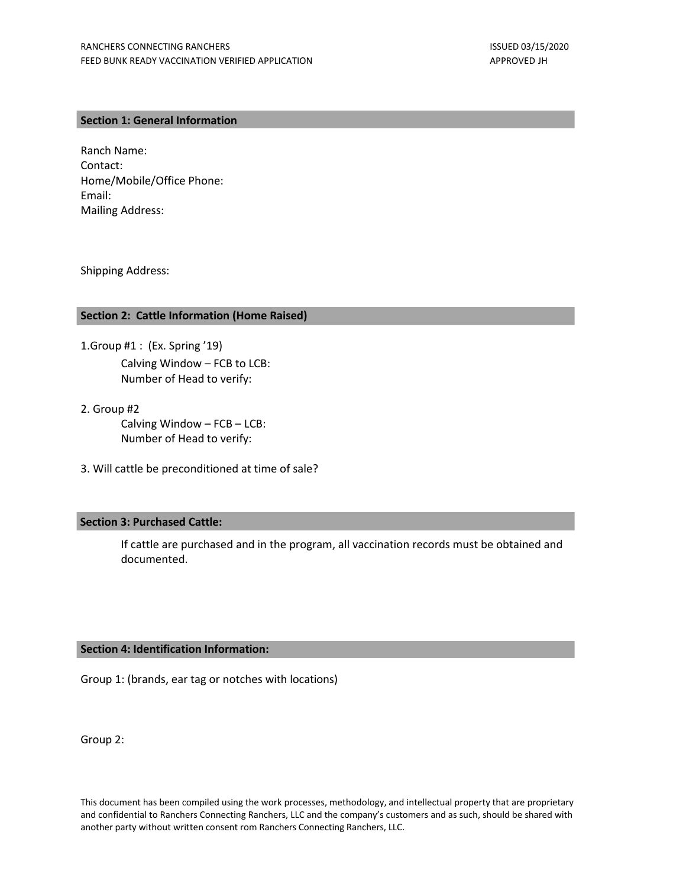#### **Section 1: General Information**

Ranch Name: Contact: Home/Mobile/Office Phone: Email: Mailing Address:

Shipping Address:

#### **Section 2: Cattle Information (Home Raised)**

- 1.Group #1 : (Ex. Spring '19) Calving Window – FCB to LCB: Number of Head to verify:
- 2. Group #2 Calving Window – FCB – LCB: Number of Head to verify:
- 3. Will cattle be preconditioned at time of sale?

#### **Section 3: Purchased Cattle:**

If cattle are purchased and in the program, all vaccination records must be obtained and documented.

#### **Section 4: Identification Information:**

Group 1: (brands, ear tag or notches with locations)

Group 2: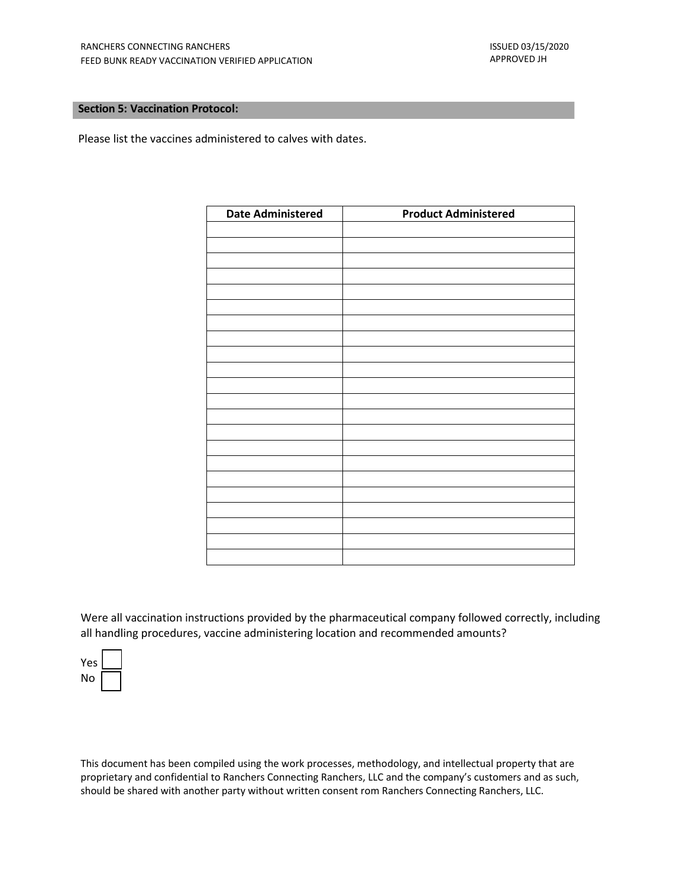#### **Section 5: Vaccination Protocol:**

Please list the vaccines administered to calves with dates.

| <b>Date Administered</b> | <b>Product Administered</b> |
|--------------------------|-----------------------------|
|                          |                             |
|                          |                             |
|                          |                             |
|                          |                             |
|                          |                             |
|                          |                             |
|                          |                             |
|                          |                             |
|                          |                             |
|                          |                             |
|                          |                             |
|                          |                             |
|                          |                             |
|                          |                             |
|                          |                             |
|                          |                             |
|                          |                             |
|                          |                             |
|                          |                             |
|                          |                             |
|                          |                             |
|                          |                             |

Were all vaccination instructions provided by the pharmaceutical company followed correctly, including all handling procedures, vaccine administering location and recommended amounts?